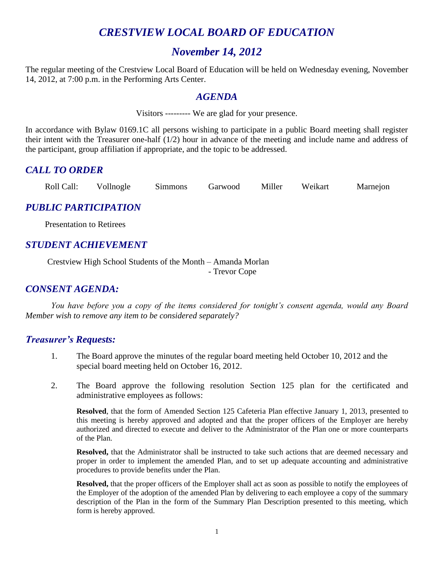## *CRESTVIEW LOCAL BOARD OF EDUCATION*

## *November 14, 2012*

The regular meeting of the Crestview Local Board of Education will be held on Wednesday evening, November 14, 2012, at 7:00 p.m. in the Performing Arts Center.

## *AGENDA*

Visitors --------- We are glad for your presence.

In accordance with Bylaw 0169.1C all persons wishing to participate in a public Board meeting shall register their intent with the Treasurer one-half (1/2) hour in advance of the meeting and include name and address of the participant, group affiliation if appropriate, and the topic to be addressed.

## *CALL TO ORDER*

| Roll Call: | Vollnogle | Simmons | Garwood | Miller | Weikart | Marnejon |
|------------|-----------|---------|---------|--------|---------|----------|
|            |           |         |         |        |         |          |

## *PUBLIC PARTICIPATION*

Presentation to Retirees

## *STUDENT ACHIEVEMENT*

Crestview High School Students of the Month – Amanda Morlan - Trevor Cope

## *CONSENT AGENDA:*

*You have before you a copy of the items considered for tonight's consent agenda, would any Board Member wish to remove any item to be considered separately?*

#### *Treasurer's Requests:*

- 1. The Board approve the minutes of the regular board meeting held October 10, 2012 and the special board meeting held on October 16, 2012.
- 2. The Board approve the following resolution Section 125 plan for the certificated and administrative employees as follows:

**Resolved**, that the form of Amended Section 125 Cafeteria Plan effective January 1, 2013, presented to this meeting is hereby approved and adopted and that the proper officers of the Employer are hereby authorized and directed to execute and deliver to the Administrator of the Plan one or more counterparts of the Plan.

**Resolved,** that the Administrator shall be instructed to take such actions that are deemed necessary and proper in order to implement the amended Plan, and to set up adequate accounting and administrative procedures to provide benefits under the Plan.

**Resolved,** that the proper officers of the Employer shall act as soon as possible to notify the employees of the Employer of the adoption of the amended Plan by delivering to each employee a copy of the summary description of the Plan in the form of the Summary Plan Description presented to this meeting, which form is hereby approved.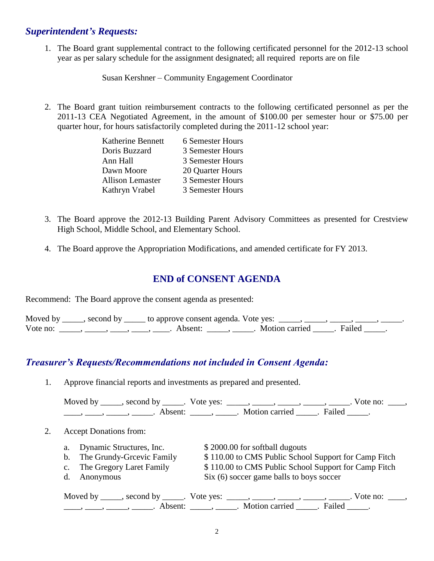## *Superintendent's Requests:*

1. The Board grant supplemental contract to the following certificated personnel for the 2012-13 school year as per salary schedule for the assignment designated; all required reports are on file

Susan Kershner – Community Engagement Coordinator

2. The Board grant tuition reimbursement contracts to the following certificated personnel as per the 2011-13 CEA Negotiated Agreement, in the amount of \$100.00 per semester hour or \$75.00 per quarter hour, for hours satisfactorily completed during the 2011-12 school year:

| <b>Katherine Bennett</b> | 6 Semester Hours |
|--------------------------|------------------|
| Doris Buzzard            | 3 Semester Hours |
| Ann Hall                 | 3 Semester Hours |
| Dawn Moore               | 20 Quarter Hours |
| <b>Allison Lemaster</b>  | 3 Semester Hours |
| Kathryn Vrabel           | 3 Semester Hours |

- 3. The Board approve the 2012-13 Building Parent Advisory Committees as presented for Crestview High School, Middle School, and Elementary School.
- 4. The Board approve the Appropriation Modifications, and amended certificate for FY 2013.

## **END of CONSENT AGENDA**

Recommend: The Board approve the consent agenda as presented:

|          | Moved by _____, second by _____ to approve consent agenda. Vote yes: |                           |  |
|----------|----------------------------------------------------------------------|---------------------------|--|
| Vote no: | Absent <sup>.</sup>                                                  | . Motion carried . Failed |  |

## *Treasurer's Requests/Recommendations not included in Consent Agenda:*

1. Approve financial reports and investments as prepared and presented.

| Moved by ______, second by ______. Vote yes: |                           | Vote no: |  |
|----------------------------------------------|---------------------------|----------|--|
|                                              | . Motion carried . Failed |          |  |

#### 2. Accept Donations from:

- a. Dynamic Structures, Inc. \$ 2000.00 for softball dugouts
- 
- 
- b. The Grundy-Grcevic Family  $$ 110.00$  to CMS Public School Support for Camp Fitch c. The Gregory Laret Family  $$ 110.00$  to CMS Public School Support for Camp Fitch d. Anonymous Six (6) soccer game balls to boys soccer

Moved by \_\_\_\_\_, second by \_\_\_\_\_. Vote yes:  $\_\_\_\_\_\_\_\_\_\_\_\_\_\_\_$  \_\_\_\_\_, \_\_\_\_\_, \_\_\_\_\_. Vote no:  $\_\_\_\_\_\_\$ \_\_\_\_\_, \_\_\_\_\_\_, \_\_\_\_\_\_\_. Absent: \_\_\_\_\_\_, \_\_\_\_\_\_. Motion carried \_\_\_\_\_\_. Failed \_\_\_\_\_.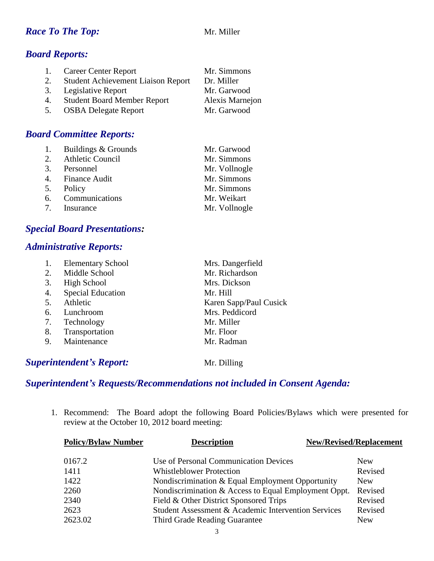## *Race To The Top:* Mr. Miller

## *Board Reports:*

|    | 1. Career Center Report               | Mr. Simmons     |
|----|---------------------------------------|-----------------|
|    | 2. Student Achievement Liaison Report | Dr. Miller      |
|    | 3. Legislative Report                 | Mr. Garwood     |
|    | 4. Student Board Member Report        | Alexis Marnejon |
| 5. | <b>OSBA Delegate Report</b>           | Mr. Garwood     |

## *Board Committee Reports:*

| 1. Buildings & Grounds | Mr. Garwood   |
|------------------------|---------------|
| 2. Athletic Council    | Mr. Simmons   |
| 3. Personnel           | Mr. Vollnogle |
| 4. Finance Audit       | Mr. Simmons   |
| 5. Policy              | Mr. Simmons   |
| 6. Communications      | Mr. Weikart   |
| 7. Insurance           | Mr. Vollnogle |

## *Special Board Presentations:*

## *Administrative Reports:*

|    | <b>Elementary School</b> | Mrs. Dangerfield       |
|----|--------------------------|------------------------|
| 2. | Middle School            | Mr. Richardson         |
| 3. | <b>High School</b>       | Mrs. Dickson           |
| 4. | <b>Special Education</b> | Mr. Hill               |
| 5. | Athletic                 | Karen Sapp/Paul Cusick |
| 6. | Lunchroom                | Mrs. Peddicord         |
| 7. | Technology               | Mr. Miller             |
| 8. | Transportation           | Mr. Floor              |
| 9. | Maintenance              | Mr. Radman             |
|    |                          |                        |

## **Superintendent's Report:** Mr. Dilling

## *Superintendent's Requests/Recommendations not included in Consent Agenda:*

1. Recommend: The Board adopt the following Board Policies/Bylaws which were presented for review at the October 10, 2012 board meeting:

| <b>Policy/Bylaw Number</b> | <b>Description</b>                                   | <b>New/Revised/Replacement</b> |  |
|----------------------------|------------------------------------------------------|--------------------------------|--|
| 0167.2                     | Use of Personal Communication Devices                | <b>New</b>                     |  |
| 1411                       | <b>Whistleblower Protection</b>                      | Revised                        |  |
| 1422                       | Nondiscrimination & Equal Employment Opportunity     | New                            |  |
| 2260                       | Nondiscrimination & Access to Equal Employment Oppt. | Revised                        |  |
| 2340                       | Field & Other District Sponsored Trips               | Revised                        |  |
| 2623                       | Student Assessment & Academic Intervention Services  | Revised                        |  |
| 2623.02                    | Third Grade Reading Guarantee                        | <b>New</b>                     |  |